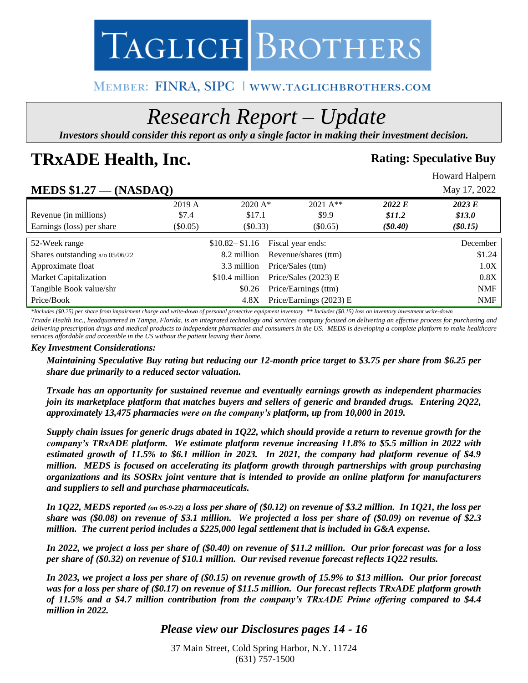

# MEMBER: FINRA, SIPC | WWW.TAGLICHBROTHERS.COM

# *Research Report – Update*

*Investors should consider this report as only a single factor in making their investment decision.*

# **TRxADE Health, Inc. Rating:** Speculative Buy

Howard Halpern

# **MEDS \$1.27 — (NASDAQ)** May 17, 2022

| $\left( \cdot \right)$ |                |                         |                                                                                     | ----- , - - , - - |
|------------------------|----------------|-------------------------|-------------------------------------------------------------------------------------|-------------------|
| 2019 A                 |                | $2021 \text{ A}^{**}$   | 2022 E                                                                              | 2023 E            |
| \$7.4                  |                | \$9.9                   | \$11.2\$                                                                            | \$13.0\$          |
| (S0.05)                |                | $(\$0.65)$              | $(\$0.40)$                                                                          | $(\$0.15)$        |
|                        |                |                         |                                                                                     | December          |
|                        |                |                         |                                                                                     |                   |
|                        | 8.2 million    | Revenue/shares (ttm)    |                                                                                     | \$1.24            |
|                        | 3.3 million    | Price/Sales (ttm)       |                                                                                     | 1.0X              |
|                        | \$10.4 million | Price/Sales $(2023)$ E  |                                                                                     | 0.8X              |
|                        | \$0.26         | Price/Earnings (ttm)    |                                                                                     | <b>NMF</b>        |
|                        | 4.8X           | Price/Earnings (2023) E |                                                                                     | <b>NMF</b>        |
|                        |                |                         | $2020 \text{ A}^*$<br>\$17.1<br>$(\$0.33)$<br>$$10.82 - $1.16$<br>Fiscal year ends: |                   |

*\*Includes (\$0.25) per share from impairment charge and write-down of personal protective equipment inventory \*\* Includes (\$0.15) loss on inventory investment write-down*

*Trxade Health Inc., headquartered in Tampa, Florida, is an integrated technology and services company focused on delivering an effective process for purchasing and delivering prescription drugs and medical products to independent pharmacies and consumers in the US. MEDS is developing a complete platform to make healthcare services affordable and accessible in the US without the patient leaving their home.* 

#### *Key Investment Considerations:*

*Maintaining Speculative Buy rating but reducing our 12-month price target to \$3.75 per share from \$6.25 per share due primarily to a reduced sector valuation.* 

*Trxade has an opportunity for sustained revenue and eventually earnings growth as independent pharmacies join its marketplace platform that matches buyers and sellers of generic and branded drugs. Entering 2Q22, approximately 13,475 pharmacies were on the company's platform, up from 10,000 in 2019.* 

*Supply chain issues for generic drugs abated in 1Q22, which should provide a return to revenue growth for the company's TRxADE platform. We estimate platform revenue increasing 11.8% to \$5.5 million in 2022 with estimated growth of 11.5% to \$6.1 million in 2023. In 2021, the company had platform revenue of \$4.9 million. MEDS is focused on accelerating its platform growth through partnerships with group purchasing organizations and its SOSRx joint venture that is intended to provide an online platform for manufacturers and suppliers to sell and purchase pharmaceuticals.*

*In 1Q22, MEDS reported (on 05-9-22) a loss per share of (\$0.12) on revenue of \$3.2 million. In 1Q21, the loss per share was (\$0.08) on revenue of \$3.1 million. We projected a loss per share of (\$0.09) on revenue of \$2.3 million. The current period includes a \$225,000 legal settlement that is included in G&A expense.* 

*In 2022, we project a loss per share of (\$0.40) on revenue of \$11.2 million. Our prior forecast was for a loss per share of (\$0.32) on revenue of \$10.1 million. Our revised revenue forecast reflects 1Q22 results.* 

*In 2023, we project a loss per share of (\$0.15) on revenue growth of 15.9% to \$13 million. Our prior forecast was for a loss per share of (\$0.17) on revenue of \$11.5 million. Our forecast reflects TRxADE platform growth of 11.5% and a \$4.7 million contribution from the company's TRxADE Prime offering compared to \$4.4 million in 2022.* 

# *Please view our Disclosures pages 14 - 16*

37 Main Street, Cold Spring Harbor, N.Y. 11724 (631) 757-1500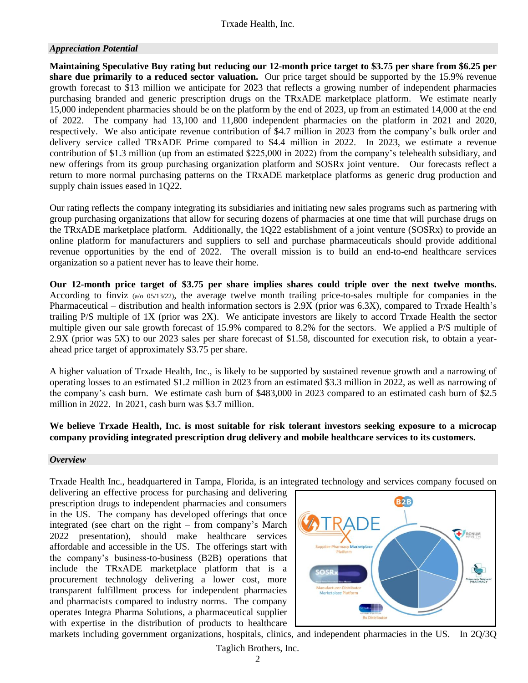#### *Appreciation Potential*

**Maintaining Speculative Buy rating but reducing our 12-month price target to \$3.75 per share from \$6.25 per share due primarily to a reduced sector valuation.** Our price target should be supported by the 15.9% revenue growth forecast to \$13 million we anticipate for 2023 that reflects a growing number of independent pharmacies purchasing branded and generic prescription drugs on the TRxADE marketplace platform. We estimate nearly 15,000 independent pharmacies should be on the platform by the end of 2023, up from an estimated 14,000 at the end of 2022. The company had 13,100 and 11,800 independent pharmacies on the platform in 2021 and 2020, respectively. We also anticipate revenue contribution of \$4.7 million in 2023 from the company's bulk order and delivery service called TRxADE Prime compared to \$4.4 million in 2022. In 2023, we estimate a revenue contribution of \$1.3 million (up from an estimated \$225,000 in 2022) from the company's telehealth subsidiary, and new offerings from its group purchasing organization platform and SOSRx joint venture. Our forecasts reflect a return to more normal purchasing patterns on the TRxADE marketplace platforms as generic drug production and supply chain issues eased in 1Q22.

Our rating reflects the company integrating its subsidiaries and initiating new sales programs such as partnering with group purchasing organizations that allow for securing dozens of pharmacies at one time that will purchase drugs on the TRxADE marketplace platform. Additionally, the 1Q22 establishment of a joint venture (SOSRx) to provide an online platform for manufacturers and suppliers to sell and purchase pharmaceuticals should provide additional revenue opportunities by the end of 2022. The overall mission is to build an end-to-end healthcare services organization so a patient never has to leave their home.

**Our 12-month price target of \$3.75 per share implies shares could triple over the next twelve months.**  According to finviz ( $a/0$  05/13/22), the average twelve month trailing price-to-sales multiple for companies in the Pharmaceutical – distribution and health information sectors is 2.9X (prior was 6.3X), compared to Trxade Health's trailing P/S multiple of 1X (prior was 2X). We anticipate investors are likely to accord Trxade Health the sector multiple given our sale growth forecast of 15.9% compared to 8.2% for the sectors. We applied a P/S multiple of 2.9X (prior was 5X) to our 2023 sales per share forecast of \$1.58, discounted for execution risk, to obtain a yearahead price target of approximately \$3.75 per share.

A higher valuation of Trxade Health, Inc., is likely to be supported by sustained revenue growth and a narrowing of operating losses to an estimated \$1.2 million in 2023 from an estimated \$3.3 million in 2022, as well as narrowing of the company's cash burn. We estimate cash burn of \$483,000 in 2023 compared to an estimated cash burn of \$2.5 million in 2022. In 2021, cash burn was \$3.7 million.

#### **We believe Trxade Health, Inc. is most suitable for risk tolerant investors seeking exposure to a microcap company providing integrated prescription drug delivery and mobile healthcare services to its customers.**

#### *Overview*

Trxade Health Inc., headquartered in Tampa, Florida, is an integrated technology and services company focused on

delivering an effective process for purchasing and delivering prescription drugs to independent pharmacies and consumers in the US. The company has developed offerings that once integrated (see chart on the right – from company's March 2022 presentation), should make healthcare services affordable and accessible in the US. The offerings start with the company's business-to-business (B2B) operations that include the TRxADE marketplace platform that is a procurement technology delivering a lower cost, more transparent fulfillment process for independent pharmacies and pharmacists compared to industry norms. The company operates Integra Pharma Solutions, a pharmaceutical supplier with expertise in the distribution of products to healthcare



markets including government organizations, hospitals, clinics, and independent pharmacies in the US. In 2Q/3Q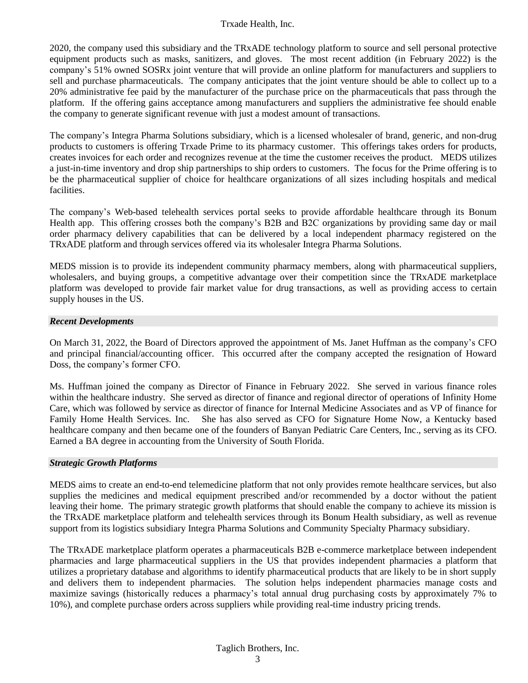2020, the company used this subsidiary and the TRxADE technology platform to source and sell personal protective equipment products such as masks, sanitizers, and gloves. The most recent addition (in February 2022) is the company's 51% owned SOSRx joint venture that will provide an online platform for manufacturers and suppliers to sell and purchase pharmaceuticals. The company anticipates that the joint venture should be able to collect up to a 20% administrative fee paid by the manufacturer of the purchase price on the pharmaceuticals that pass through the platform. If the offering gains acceptance among manufacturers and suppliers the administrative fee should enable the company to generate significant revenue with just a modest amount of transactions.

The company's Integra Pharma Solutions subsidiary, which is a licensed wholesaler of brand, generic, and non-drug products to customers is offering Trxade Prime to its pharmacy customer. This offerings takes orders for products, creates invoices for each order and recognizes revenue at the time the customer receives the product. MEDS utilizes a just-in-time inventory and drop ship partnerships to ship orders to customers. The focus for the Prime offering is to be the pharmaceutical supplier of choice for healthcare organizations of all sizes including hospitals and medical facilities.

The company's Web-based telehealth services portal seeks to provide affordable healthcare through its Bonum Health app. This offering crosses both the company's B2B and B2C organizations by providing same day or mail order pharmacy delivery capabilities that can be delivered by a local independent pharmacy registered on the TRxADE platform and through services offered via its wholesaler Integra Pharma Solutions.

MEDS mission is to provide its independent community pharmacy members, along with pharmaceutical suppliers, wholesalers, and buying groups, a competitive advantage over their competition since the TRxADE marketplace platform was developed to provide fair market value for drug transactions, as well as providing access to certain supply houses in the US.

#### *Recent Developments*

On March 31, 2022, the Board of Directors approved the appointment of Ms. Janet Huffman as the company's CFO and principal financial/accounting officer. This occurred after the company accepted the resignation of Howard Doss, the company's former CFO.

Ms. Huffman joined the company as Director of Finance in February 2022. She served in various finance roles within the healthcare industry. She served as director of finance and regional director of operations of Infinity Home Care, which was followed by service as director of finance for Internal Medicine Associates and as VP of finance for Family Home Health Services. Inc. She has also served as CFO for Signature Home Now, a Kentucky based healthcare company and then became one of the founders of Banyan Pediatric Care Centers, Inc., serving as its CFO. Earned a BA degree in accounting from the University of South Florida.

#### *Strategic Growth Platforms*

MEDS aims to create an end-to-end telemedicine platform that not only provides remote healthcare services, but also supplies the medicines and medical equipment prescribed and/or recommended by a doctor without the patient leaving their home. The primary strategic growth platforms that should enable the company to achieve its mission is the TRxADE marketplace platform and telehealth services through its Bonum Health subsidiary, as well as revenue support from its logistics subsidiary Integra Pharma Solutions and Community Specialty Pharmacy subsidiary.

The TRxADE marketplace platform operates a pharmaceuticals B2B e-commerce marketplace between independent pharmacies and large pharmaceutical suppliers in the US that provides independent pharmacies a platform that utilizes a proprietary database and algorithms to identify pharmaceutical products that are likely to be in short supply and delivers them to independent pharmacies. The solution helps independent pharmacies manage costs and maximize savings (historically reduces a pharmacy's total annual drug purchasing costs by approximately 7% to 10%), and complete purchase orders across suppliers while providing real-time industry pricing trends.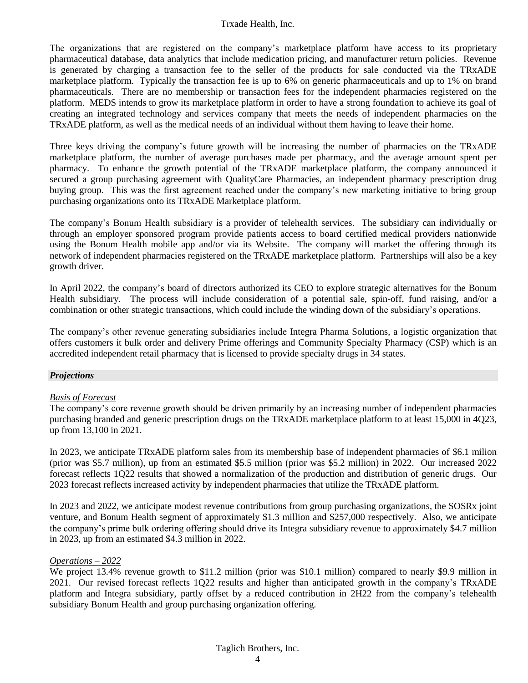The organizations that are registered on the company's marketplace platform have access to its proprietary pharmaceutical database, data analytics that include medication pricing, and manufacturer return policies. Revenue is generated by charging a transaction fee to the seller of the products for sale conducted via the TRxADE marketplace platform. Typically the transaction fee is up to 6% on generic pharmaceuticals and up to 1% on brand pharmaceuticals. There are no membership or transaction fees for the independent pharmacies registered on the platform. MEDS intends to grow its marketplace platform in order to have a strong foundation to achieve its goal of creating an integrated technology and services company that meets the needs of independent pharmacies on the TRxADE platform, as well as the medical needs of an individual without them having to leave their home.

Three keys driving the company's future growth will be increasing the number of pharmacies on the TRxADE marketplace platform, the number of average purchases made per pharmacy, and the average amount spent per pharmacy. To enhance the growth potential of the TRxADE marketplace platform, the company announced it secured a group purchasing agreement with QualityCare Pharmacies, an independent pharmacy prescription drug buying group. This was the first agreement reached under the company's new marketing initiative to bring group purchasing organizations onto its TRxADE Marketplace platform.

The company's Bonum Health subsidiary is a provider of telehealth services. The subsidiary can individually or through an employer sponsored program provide patients access to board certified medical providers nationwide using the Bonum Health mobile app and/or via its Website. The company will market the offering through its network of independent pharmacies registered on the TRxADE marketplace platform. Partnerships will also be a key growth driver.

In April 2022, the company's board of directors authorized its CEO to explore strategic alternatives for the Bonum Health subsidiary. The process will include consideration of a potential sale, spin-off, fund raising, and/or a combination or other strategic transactions, which could include the winding down of the subsidiary's operations.

The company's other revenue generating subsidiaries include Integra Pharma Solutions, a logistic organization that offers customers it bulk order and delivery Prime offerings and Community Specialty Pharmacy (CSP) which is an accredited independent retail pharmacy that is licensed to provide specialty drugs in 34 states.

#### *Projections*

#### *Basis of Forecast*

The company's core revenue growth should be driven primarily by an increasing number of independent pharmacies purchasing branded and generic prescription drugs on the TRxADE marketplace platform to at least 15,000 in 4Q23, up from 13,100 in 2021.

In 2023, we anticipate TRxADE platform sales from its membership base of independent pharmacies of \$6.1 milion (prior was \$5.7 million), up from an estimated \$5.5 million (prior was \$5.2 million) in 2022. Our increased 2022 forecast reflects 1Q22 results that showed a normalization of the production and distribution of generic drugs. Our 2023 forecast reflects increased activity by independent pharmacies that utilize the TRxADE platform.

In 2023 and 2022, we anticipate modest revenue contributions from group purchasing organizations, the SOSRx joint venture, and Bonum Health segment of approximately \$1.3 million and \$257,000 respectively. Also, we anticipate the company's prime bulk ordering offering should drive its Integra subsidiary revenue to approximately \$4.7 million in 2023, up from an estimated \$4.3 million in 2022.

#### *Operations – 2022*

We project 13.4% revenue growth to \$11.2 million (prior was \$10.1 million) compared to nearly \$9.9 million in 2021. Our revised forecast reflects 1Q22 results and higher than anticipated growth in the company's TRxADE platform and Integra subsidiary, partly offset by a reduced contribution in 2H22 from the company's telehealth subsidiary Bonum Health and group purchasing organization offering.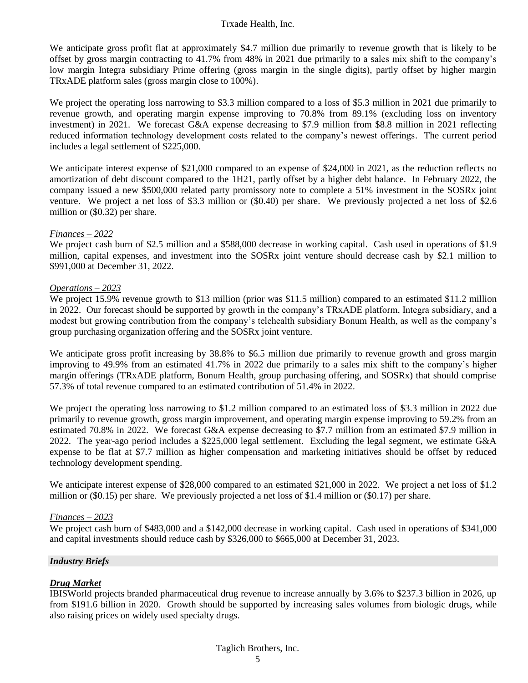We anticipate gross profit flat at approximately \$4.7 million due primarily to revenue growth that is likely to be offset by gross margin contracting to 41.7% from 48% in 2021 due primarily to a sales mix shift to the company's low margin Integra subsidiary Prime offering (gross margin in the single digits), partly offset by higher margin TRxADE platform sales (gross margin close to 100%).

We project the operating loss narrowing to \$3.3 million compared to a loss of \$5.3 million in 2021 due primarily to revenue growth, and operating margin expense improving to 70.8% from 89.1% (excluding loss on inventory investment) in 2021. We forecast G&A expense decreasing to \$7.9 million from \$8.8 million in 2021 reflecting reduced information technology development costs related to the company's newest offerings. The current period includes a legal settlement of \$225,000.

We anticipate interest expense of \$21,000 compared to an expense of \$24,000 in 2021, as the reduction reflects no amortization of debt discount compared to the 1H21, partly offset by a higher debt balance. In February 2022, the company issued a new \$500,000 related party promissory note to complete a 51% investment in the SOSRx joint venture. We project a net loss of \$3.3 million or (\$0.40) per share. We previously projected a net loss of \$2.6 million or (\$0.32) per share.

#### *Finances – 2022*

We project cash burn of \$2.5 million and a \$588,000 decrease in working capital. Cash used in operations of \$1.9 million, capital expenses, and investment into the SOSRx joint venture should decrease cash by \$2.1 million to \$991,000 at December 31, 2022.

#### *Operations – 2023*

We project 15.9% revenue growth to \$13 million (prior was \$11.5 million) compared to an estimated \$11.2 million in 2022. Our forecast should be supported by growth in the company's TRxADE platform, Integra subsidiary, and a modest but growing contribution from the company's telehealth subsidiary Bonum Health, as well as the company's group purchasing organization offering and the SOSRx joint venture.

We anticipate gross profit increasing by 38.8% to \$6.5 million due primarily to revenue growth and gross margin improving to 49.9% from an estimated 41.7% in 2022 due primarily to a sales mix shift to the company's higher margin offerings (TRxADE platform, Bonum Health, group purchasing offering, and SOSRx) that should comprise 57.3% of total revenue compared to an estimated contribution of 51.4% in 2022.

We project the operating loss narrowing to \$1.2 million compared to an estimated loss of \$3.3 million in 2022 due primarily to revenue growth, gross margin improvement, and operating margin expense improving to 59.2% from an estimated 70.8% in 2022. We forecast G&A expense decreasing to \$7.7 million from an estimated \$7.9 million in 2022. The year-ago period includes a \$225,000 legal settlement. Excluding the legal segment, we estimate G&A expense to be flat at \$7.7 million as higher compensation and marketing initiatives should be offset by reduced technology development spending.

We anticipate interest expense of \$28,000 compared to an estimated \$21,000 in 2022. We project a net loss of \$1.2 million or (\$0.15) per share. We previously projected a net loss of \$1.4 million or (\$0.17) per share.

#### *Finances – 2023*

We project cash burn of \$483,000 and a \$142,000 decrease in working capital. Cash used in operations of \$341,000 and capital investments should reduce cash by \$326,000 to \$665,000 at December 31, 2023.

#### *Industry Briefs*

### *Drug Market*

IBISWorld projects branded pharmaceutical drug revenue to increase annually by 3.6% to \$237.3 billion in 2026, up from \$191.6 billion in 2020. Growth should be supported by increasing sales volumes from biologic drugs, while also raising prices on widely used specialty drugs.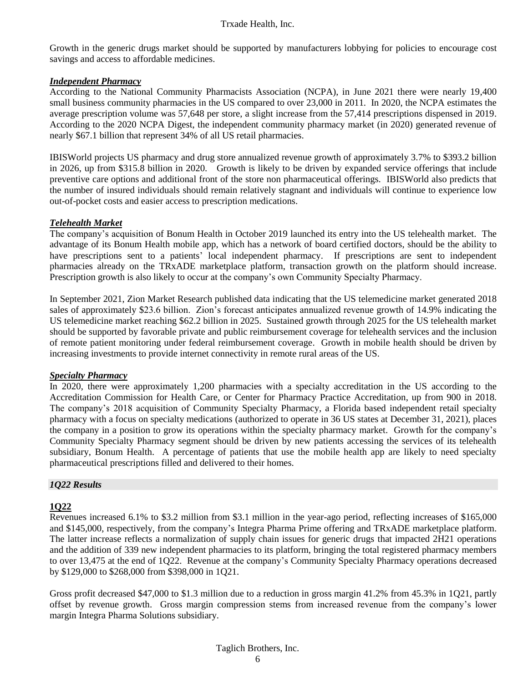Growth in the generic drugs market should be supported by manufacturers lobbying for policies to encourage cost savings and access to affordable medicines.

#### *Independent Pharmacy*

According to the National Community Pharmacists Association (NCPA), in June 2021 there were nearly 19,400 small business community pharmacies in the US compared to over 23,000 in 2011. In 2020, the NCPA estimates the average prescription volume was 57,648 per store, a slight increase from the 57,414 prescriptions dispensed in 2019. According to the 2020 NCPA Digest, the independent community pharmacy market (in 2020) generated revenue of nearly \$67.1 billion that represent 34% of all US retail pharmacies.

IBISWorld projects US pharmacy and drug store annualized revenue growth of approximately 3.7% to \$393.2 billion in 2026, up from \$315.8 billion in 2020. Growth is likely to be driven by expanded service offerings that include preventive care options and additional front of the store non pharmaceutical offerings. IBISWorld also predicts that the number of insured individuals should remain relatively stagnant and individuals will continue to experience low out-of-pocket costs and easier access to prescription medications.

#### *Telehealth Market*

The company's acquisition of Bonum Health in October 2019 launched its entry into the US telehealth market. The advantage of its Bonum Health mobile app, which has a network of board certified doctors, should be the ability to have prescriptions sent to a patients' local independent pharmacy. If prescriptions are sent to independent pharmacies already on the TRxADE marketplace platform, transaction growth on the platform should increase. Prescription growth is also likely to occur at the company's own Community Specialty Pharmacy.

In September 2021, Zion Market Research published data indicating that the US telemedicine market generated 2018 sales of approximately \$23.6 billion. Zion's forecast anticipates annualized revenue growth of 14.9% indicating the US telemedicine market reaching \$62.2 billion in 2025. Sustained growth through 2025 for the US telehealth market should be supported by favorable private and public reimbursement coverage for telehealth services and the inclusion of remote patient monitoring under federal reimbursement coverage. Growth in mobile health should be driven by increasing investments to provide internet connectivity in remote rural areas of the US.

#### *Specialty Pharmacy*

In 2020, there were approximately 1,200 pharmacies with a specialty accreditation in the US according to the Accreditation Commission for Health Care, or Center for Pharmacy Practice Accreditation, up from 900 in 2018. The company's 2018 acquisition of Community Specialty Pharmacy, a Florida based independent retail specialty pharmacy with a focus on specialty medications (authorized to operate in 36 US states at December 31, 2021), places the company in a position to grow its operations within the specialty pharmacy market. Growth for the company's Community Specialty Pharmacy segment should be driven by new patients accessing the services of its telehealth subsidiary, Bonum Health. A percentage of patients that use the mobile health app are likely to need specialty pharmaceutical prescriptions filled and delivered to their homes.

#### *1Q22 Results*

#### **1Q22**

Revenues increased 6.1% to \$3.2 million from \$3.1 million in the year-ago period, reflecting increases of \$165,000 and \$145,000, respectively, from the company's Integra Pharma Prime offering and TRxADE marketplace platform. The latter increase reflects a normalization of supply chain issues for generic drugs that impacted 2H21 operations and the addition of 339 new independent pharmacies to its platform, bringing the total registered pharmacy members to over 13,475 at the end of 1Q22. Revenue at the company's Community Specialty Pharmacy operations decreased by \$129,000 to \$268,000 from \$398,000 in 1Q21.

Gross profit decreased \$47,000 to \$1.3 million due to a reduction in gross margin 41.2% from 45.3% in 1Q21, partly offset by revenue growth. Gross margin compression stems from increased revenue from the company's lower margin Integra Pharma Solutions subsidiary.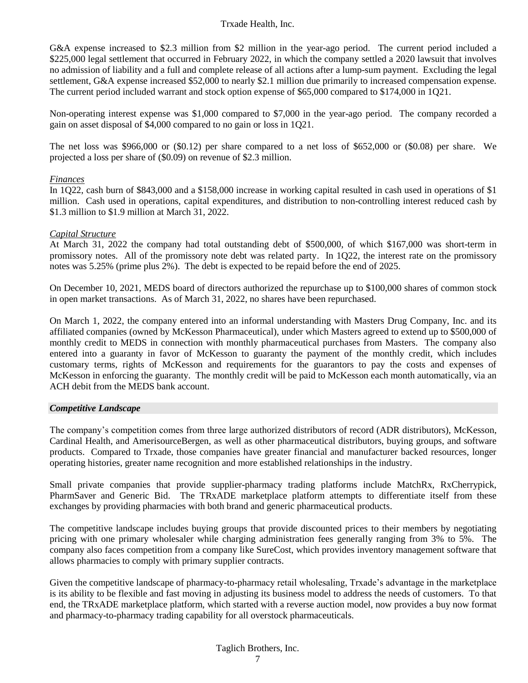G&A expense increased to \$2.3 million from \$2 million in the year-ago period. The current period included a \$225,000 legal settlement that occurred in February 2022, in which the company settled a 2020 lawsuit that involves no admission of liability and a full and complete release of all actions after a lump-sum payment. Excluding the legal settlement, G&A expense increased \$52,000 to nearly \$2.1 million due primarily to increased compensation expense. The current period included warrant and stock option expense of \$65,000 compared to \$174,000 in 1Q21.

Non-operating interest expense was \$1,000 compared to \$7,000 in the year-ago period. The company recorded a gain on asset disposal of \$4,000 compared to no gain or loss in 1Q21.

The net loss was \$966,000 or (\$0.12) per share compared to a net loss of \$652,000 or (\$0.08) per share. We projected a loss per share of (\$0.09) on revenue of \$2.3 million.

#### *Finances*

In 1Q22, cash burn of \$843,000 and a \$158,000 increase in working capital resulted in cash used in operations of \$1 million. Cash used in operations, capital expenditures, and distribution to non-controlling interest reduced cash by \$1.3 million to \$1.9 million at March 31, 2022.

#### *Capital Structure*

At March 31, 2022 the company had total outstanding debt of \$500,000, of which \$167,000 was short-term in promissory notes. All of the promissory note debt was related party. In 1Q22, the interest rate on the promissory notes was 5.25% (prime plus 2%). The debt is expected to be repaid before the end of 2025.

On December 10, 2021, MEDS board of directors authorized the repurchase up to \$100,000 shares of common stock in open market transactions. As of March 31, 2022, no shares have been repurchased.

On March 1, 2022, the company entered into an informal understanding with Masters Drug Company, Inc. and its affiliated companies (owned by McKesson Pharmaceutical), under which Masters agreed to extend up to \$500,000 of monthly credit to MEDS in connection with monthly pharmaceutical purchases from Masters. The company also entered into a guaranty in favor of McKesson to guaranty the payment of the monthly credit, which includes customary terms, rights of McKesson and requirements for the guarantors to pay the costs and expenses of McKesson in enforcing the guaranty. The monthly credit will be paid to McKesson each month automatically, via an ACH debit from the MEDS bank account.

#### *Competitive Landscape*

The company's competition comes from three large authorized distributors of record (ADR distributors), McKesson, Cardinal Health, and AmerisourceBergen, as well as other pharmaceutical distributors, buying groups, and software products. Compared to Trxade, those companies have greater financial and manufacturer backed resources, longer operating histories, greater name recognition and more established relationships in the industry.

Small private companies that provide supplier-pharmacy trading platforms include MatchRx, RxCherrypick, PharmSaver and Generic Bid. The TRxADE marketplace platform attempts to differentiate itself from these exchanges by providing pharmacies with both brand and generic pharmaceutical products.

The competitive landscape includes buying groups that provide discounted prices to their members by negotiating pricing with one primary wholesaler while charging administration fees generally ranging from 3% to 5%. The company also faces competition from a company like SureCost, which provides inventory management software that allows pharmacies to comply with primary supplier contracts.

Given the competitive landscape of pharmacy-to-pharmacy retail wholesaling, Trxade's advantage in the marketplace is its ability to be flexible and fast moving in adjusting its business model to address the needs of customers. To that end, the TRxADE marketplace platform, which started with a reverse auction model, now provides a buy now format and pharmacy-to-pharmacy trading capability for all overstock pharmaceuticals.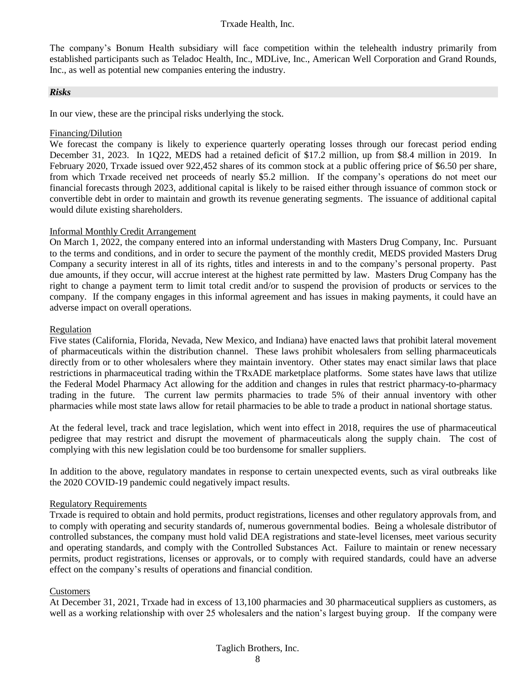The company's Bonum Health subsidiary will face competition within the telehealth industry primarily from established participants such as Teladoc Health, Inc., MDLive, Inc., American Well Corporation and Grand Rounds, Inc., as well as potential new companies entering the industry.

#### *Risks*

In our view, these are the principal risks underlying the stock.

#### Financing/Dilution

We forecast the company is likely to experience quarterly operating losses through our forecast period ending December 31, 2023. In 1Q22, MEDS had a retained deficit of \$17.2 million, up from \$8.4 million in 2019. In February 2020, Trxade issued over 922,452 shares of its common stock at a public offering price of \$6.50 per share, from which Trxade received net proceeds of nearly \$5.2 million. If the company's operations do not meet our financial forecasts through 2023, additional capital is likely to be raised either through issuance of common stock or convertible debt in order to maintain and growth its revenue generating segments. The issuance of additional capital would dilute existing shareholders.

#### Informal Monthly Credit Arrangement

On March 1, 2022, the company entered into an informal understanding with Masters Drug Company, Inc. Pursuant to the terms and conditions, and in order to secure the payment of the monthly credit, MEDS provided Masters Drug Company a security interest in all of its rights, titles and interests in and to the company's personal property. Past due amounts, if they occur, will accrue interest at the highest rate permitted by law. Masters Drug Company has the right to change a payment term to limit total credit and/or to suspend the provision of products or services to the company. If the company engages in this informal agreement and has issues in making payments, it could have an adverse impact on overall operations.

#### Regulation

Five states (California, Florida, Nevada, New Mexico, and Indiana) have enacted laws that prohibit lateral movement of pharmaceuticals within the distribution channel. These laws prohibit wholesalers from selling pharmaceuticals directly from or to other wholesalers where they maintain inventory. Other states may enact similar laws that place restrictions in pharmaceutical trading within the TRxADE marketplace platforms. Some states have laws that utilize the Federal Model Pharmacy Act allowing for the addition and changes in rules that restrict pharmacy-to-pharmacy trading in the future. The current law permits pharmacies to trade 5% of their annual inventory with other pharmacies while most state laws allow for retail pharmacies to be able to trade a product in national shortage status.

At the federal level, track and trace legislation, which went into effect in 2018, requires the use of pharmaceutical pedigree that may restrict and disrupt the movement of pharmaceuticals along the supply chain. The cost of complying with this new legislation could be too burdensome for smaller suppliers.

In addition to the above, regulatory mandates in response to certain unexpected events, such as viral outbreaks like the 2020 COVID-19 pandemic could negatively impact results.

#### Regulatory Requirements

Trxade is required to obtain and hold permits, product registrations, licenses and other regulatory approvals from, and to comply with operating and security standards of, numerous governmental bodies. Being a wholesale distributor of controlled substances, the company must hold valid DEA registrations and state-level licenses, meet various security and operating standards, and comply with the Controlled Substances Act. Failure to maintain or renew necessary permits, product registrations, licenses or approvals, or to comply with required standards, could have an adverse effect on the company's results of operations and financial condition.

#### Customers

At December 31, 2021, Trxade had in excess of 13,100 pharmacies and 30 pharmaceutical suppliers as customers, as well as a working relationship with over 25 wholesalers and the nation's largest buying group. If the company were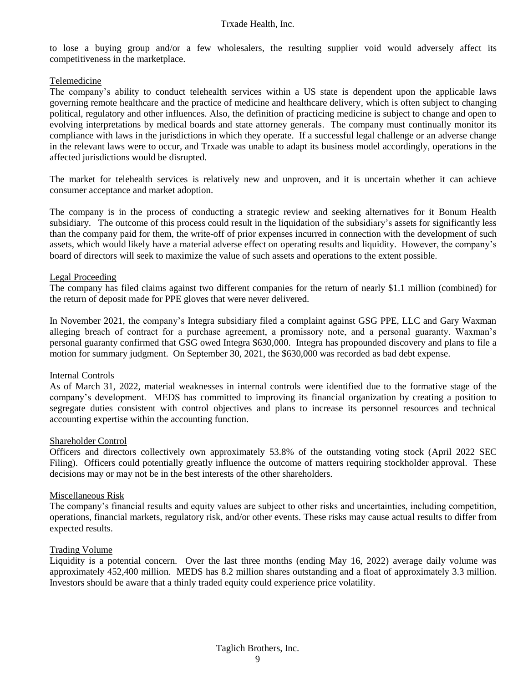to lose a buying group and/or a few wholesalers, the resulting supplier void would adversely affect its competitiveness in the marketplace.

#### Telemedicine

The company's ability to conduct telehealth services within a US state is dependent upon the applicable laws governing remote healthcare and the practice of medicine and healthcare delivery, which is often subject to changing political, regulatory and other influences. Also, the definition of practicing medicine is subject to change and open to evolving interpretations by medical boards and state attorney generals. The company must continually monitor its compliance with laws in the jurisdictions in which they operate. If a successful legal challenge or an adverse change in the relevant laws were to occur, and Trxade was unable to adapt its business model accordingly, operations in the affected jurisdictions would be disrupted.

The market for telehealth services is relatively new and unproven, and it is uncertain whether it can achieve consumer acceptance and market adoption.

The company is in the process of conducting a strategic review and seeking alternatives for it Bonum Health subsidiary. The outcome of this process could result in the liquidation of the subsidiary's assets for significantly less than the company paid for them, the write-off of prior expenses incurred in connection with the development of such assets, which would likely have a material adverse effect on operating results and liquidity. However, the company's board of directors will seek to maximize the value of such assets and operations to the extent possible.

#### Legal Proceeding

The company has filed claims against two different companies for the return of nearly \$1.1 million (combined) for the return of deposit made for PPE gloves that were never delivered.

In November 2021, the company's Integra subsidiary filed a complaint against GSG PPE, LLC and Gary Waxman alleging breach of contract for a purchase agreement, a promissory note, and a personal guaranty. Waxman's personal guaranty confirmed that GSG owed Integra \$630,000. Integra has propounded discovery and plans to file a motion for summary judgment. On September 30, 2021, the \$630,000 was recorded as bad debt expense.

#### Internal Controls

As of March 31, 2022, material weaknesses in internal controls were identified due to the formative stage of the company's development. MEDS has committed to improving its financial organization by creating a position to segregate duties consistent with control objectives and plans to increase its personnel resources and technical accounting expertise within the accounting function.

#### Shareholder Control

Officers and directors collectively own approximately 53.8% of the outstanding voting stock (April 2022 SEC Filing). Officers could potentially greatly influence the outcome of matters requiring stockholder approval. These decisions may or may not be in the best interests of the other shareholders.

#### Miscellaneous Risk

The company's financial results and equity values are subject to other risks and uncertainties, including competition, operations, financial markets, regulatory risk, and/or other events. These risks may cause actual results to differ from expected results.

#### Trading Volume

Liquidity is a potential concern. Over the last three months (ending May 16, 2022) average daily volume was approximately 452,400 million. MEDS has 8.2 million shares outstanding and a float of approximately 3.3 million. Investors should be aware that a thinly traded equity could experience price volatility.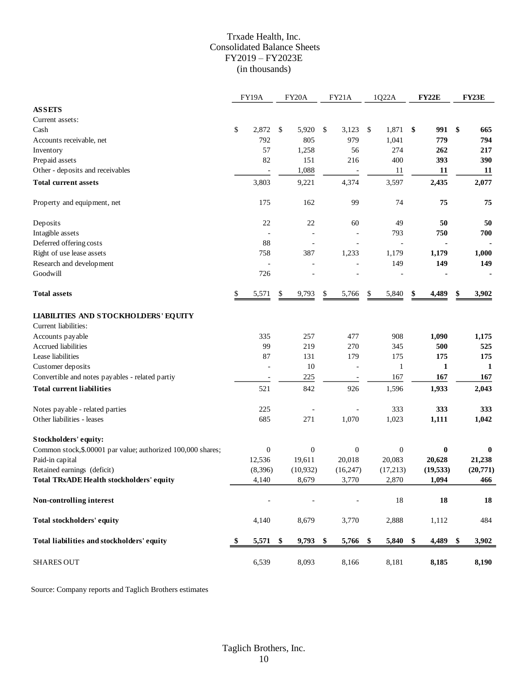#### Trxade Health, Inc. Consolidated Balance Sheets FY2019 – FY2023E (in thousands)

|                                                              |     | <b>FY19A</b> |               | FY <sub>20</sub> A | FY21A                    |               | 1Q22A            | FY22E       | <b>FY23E</b> |
|--------------------------------------------------------------|-----|--------------|---------------|--------------------|--------------------------|---------------|------------------|-------------|--------------|
| <b>ASSETS</b>                                                |     |              |               |                    |                          |               |                  |             |              |
| Current assets:                                              |     |              |               |                    |                          |               |                  |             |              |
| Cash                                                         | \$  | 2,872        | $\mathcal{S}$ | 5,920              | \$<br>3,123              | -S            | 1,871            | \$<br>991   | \$<br>665    |
| Accounts receivable, net                                     |     | 792          |               | 805                | 979                      |               | 1,041            | 779         | 794          |
| Inventory                                                    |     | 57           |               | 1,258              | 56                       |               | 274              | 262         | 217          |
| Prepaid assets                                               |     | 82           |               | 151                | 216                      |               | 400              | 393         | 390          |
| Other - deposits and receivables                             |     |              |               | 1,088              | $\overline{\phantom{a}}$ |               | 11               | 11          | 11           |
| <b>Total current assets</b>                                  |     | 3,803        |               | 9,221              | 4,374                    |               | 3,597            | 2,435       | 2,077        |
| Property and equipment, net                                  |     | 175          |               | 162                | 99                       |               | 74               | 75          | 75           |
| Deposits                                                     |     | 22           |               | 22                 | 60                       |               | 49               | 50          | 50           |
| Intagible assets                                             |     |              |               |                    |                          |               | 793              | 750         | 700          |
| Deferred offering costs                                      |     | 88           |               | L,                 |                          |               | $\overline{a}$   |             |              |
| Right of use lease assets                                    |     | 758          |               | 387                | 1,233                    |               | 1,179            | 1,179       | 1,000        |
| Research and development                                     |     |              |               | L,                 |                          |               | 149              | 149         | 149          |
| Goodwill                                                     |     | 726          |               |                    |                          |               |                  |             |              |
| <b>Total assets</b>                                          | \$. | 5,571        | \$            | 9,793              | \$<br>5,766              | \$            | 5,840            | \$<br>4,489 | \$<br>3,902  |
| <b>LIABILITIES AND STOCKHOLDERS' EQUITY</b>                  |     |              |               |                    |                          |               |                  |             |              |
| Current liabilities:                                         |     |              |               |                    |                          |               |                  |             |              |
| Accounts payable                                             |     | 335          |               | 257                | 477                      |               | 908              | 1,090       | 1,175        |
| Accrued liabilities                                          |     | 99           |               | 219                | 270                      |               | 345              | 500         | 525          |
| Lease liabilities                                            |     | 87           |               | 131                | 179                      |               | 175              | 175         | 175          |
| Customer deposits                                            |     |              |               | 10                 |                          |               | $\mathbf{1}$     | 1           | 1            |
| Convertible and notes payables - related partiy              |     |              |               | 225                |                          |               | 167              | 167         | 167          |
| <b>Total current liabilities</b>                             |     | 521          |               | 842                | 926                      |               | 1,596            | 1,933       | 2,043        |
| Notes payable - related parties                              |     | 225          |               |                    |                          |               | 333              | 333         | 333          |
| Other liabilities - leases                                   |     | 685          |               | 271                | 1,070                    |               | 1,023            | 1,111       | 1,042        |
| Stockholders' equity:                                        |     |              |               |                    |                          |               |                  |             |              |
| Common stock, \$.00001 par value; authorized 100,000 shares; |     | $\bf{0}$     |               | $\boldsymbol{0}$   | $\boldsymbol{0}$         |               | $\boldsymbol{0}$ | $\bf{0}$    | $\bf{0}$     |
| Paid-in capital                                              |     | 12,536       |               | 19,611             | 20,018                   |               | 20,083           | 20,628      | 21,238       |
| Retained earnings (deficit)                                  |     | (8,396)      |               | (10, 932)          | (16, 247)                |               | (17,213)         | (19, 533)   | (20, 771)    |
| <b>Total TRxADE Health stockholders' equity</b>              |     | 4,140        |               | 8,679              | 3,770                    |               | 2,870            | 1,094       | 466          |
| Non-controlling interest                                     |     |              |               |                    |                          |               | 18               | 18          | 18           |
| Total stockholders' equity                                   |     | 4,140        |               | 8,679              | 3,770                    |               | 2,888            | 1,112       | 484          |
| Total liabilities and stockholders' equity                   | \$  | 5,571        | \$            | 9,793              | \$<br>5,766              | $\frac{1}{2}$ | 5,840            | \$<br>4,489 | \$<br>3,902  |
| <b>SHARES OUT</b>                                            |     | 6,539        |               | 8,093              | 8,166                    |               | 8,181            | 8,185       | 8,190        |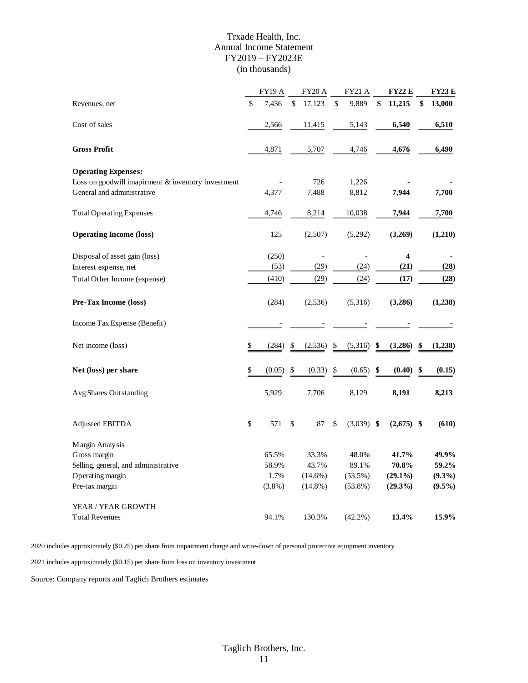#### Trxade Health, Inc. Annual Income Statement FY2019 – FY2023E (in thousands)

|                                                      |      | <b>FY19 A</b> | <b>FY20 A</b> | <b>FY21 A</b>      | <b>FY22 E</b>    | <b>FY23 E</b> |
|------------------------------------------------------|------|---------------|---------------|--------------------|------------------|---------------|
| Revenues, net                                        | \$   | 7,436         | \$<br>17,123  | \$<br>9,889        | \$<br>11,215     | \$<br>13,000  |
| Cost of sales                                        |      | 2,566         | 11,415        | 5,143              | 6,540            | 6,510         |
| <b>Gross Profit</b>                                  |      | 4,871         | 5,707         | 4,746              | 4,676            | 6,490         |
| <b>Operating Expenses:</b>                           |      |               |               |                    |                  |               |
| Loss on goodwill imapirment $&$ inventory investment |      |               | 726           | 1,226              |                  |               |
| General and administrative                           |      | 4,377         | 7,488         | 8,812              | 7,944            | 7,700         |
| <b>Total Operating Expenses</b>                      |      | 4,746         | 8,214         | 10,038             | 7,944            | 7,700         |
| <b>Operating Income (loss)</b>                       |      | 125           | (2,507)       | (5,292)            | (3,269)          | (1,210)       |
| Disposal of asset gain (loss)                        |      | (250)         |               |                    | $\boldsymbol{4}$ |               |
| Interest expense, net                                |      | (53)          | (29)          | (24)               | (21)             | (28)          |
| Total Other Income (expense)                         |      | (410)         | (29)          | (24)               | (17)             | (28)          |
| Pre-Tax Income (loss)                                |      | (284)         | (2,536)       | (5,316)            | (3,286)          | (1,238)       |
| Income Tax Expense (Benefit)                         |      |               |               |                    |                  |               |
| Net income (loss)                                    | \$   | (284)         | \$<br>(2,536) | \$<br>(5,316)      | \$<br>(3,286)    | \$<br>(1,238) |
| Net (loss) per share                                 | \$   | (0.05)        | \$<br>(0.33)  | \$<br>(0.65)       | \$<br>(0.40)     | \$<br>(0.15)  |
| Avg Shares Outstanding                               |      | 5,929         | 7,706         | 8,129              | 8,191            | 8,213         |
| Adjusted EBITDA                                      | $\$$ | 571           | \$<br>87      | \$<br>$(3,039)$ \$ | $(2,675)$ \$     | (610)         |
| Margin Analysis                                      |      |               |               |                    |                  |               |
| Gross margin                                         |      | 65.5%         | 33.3%         | 48.0%              | 41.7%            | 49.9%         |
| Selling, general, and administrative                 |      | 58.9%         | 43.7%         | 89.1%              | 70.8%            | 59.2%         |
| Operating margin                                     |      | 1.7%          | $(14.6\%)$    | $(53.5\%)$         | $(29.1\%)$       | $(9.3\%)$     |
| Pre-tax margin                                       |      | $(3.8\%)$     | $(14.8\%)$    | $(53.8\%)$         | (29.3%)          | $(9.5\%)$     |
| YEAR / YEAR GROWTH                                   |      |               |               |                    |                  |               |
| <b>Total Revenues</b>                                |      | 94.1%         | 130.3%        | $(42.2\%)$         | 13.4%            | 15.9%         |

2020 includes approximately (\$0.25) per share from impairment charge and write-down of personal protective equipment inventory

2021 includes approximately (\$0.15) per share from loss on inventory investment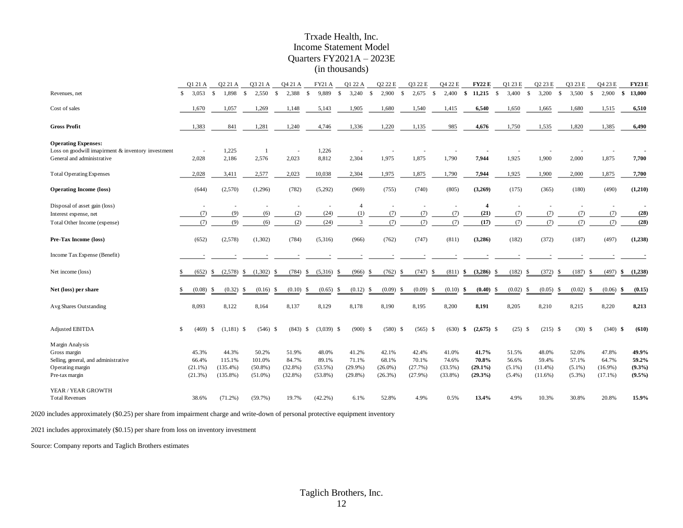#### Trxade Health, Inc. Income Statement Model Quarters FY2021A – 2023E (in thousands)

|                                                                                                                | Q1 21 A                                 | Q2 21 A                                       |              | Q3 21 A                                     | Q4 21 A                                    |            | <b>FY21 A</b>                              | Q1 22 A                                    |              | Q2 22 E                                 |                    | Q3 22 E                                 |               | Q4 22 E                                    | <b>FY22 E</b>                              |               | Q1 23 E                                  |                    | Q2 23 E                                    |               | Q3 23 E                                  |              | Q4 23 E                                    |    | <b>FY23E</b>                             |
|----------------------------------------------------------------------------------------------------------------|-----------------------------------------|-----------------------------------------------|--------------|---------------------------------------------|--------------------------------------------|------------|--------------------------------------------|--------------------------------------------|--------------|-----------------------------------------|--------------------|-----------------------------------------|---------------|--------------------------------------------|--------------------------------------------|---------------|------------------------------------------|--------------------|--------------------------------------------|---------------|------------------------------------------|--------------|--------------------------------------------|----|------------------------------------------|
| Revenues, net                                                                                                  | 3.053<br>-S                             | $\mathcal{S}$<br>1.898                        | $\mathbb{S}$ | 2.550                                       | 2.388<br>$\mathbf S$                       | -S         | 9.889                                      | 3,240<br>$\mathbf{\hat{s}}$                | $\mathbf{s}$ | 2.900                                   | $\mathbf{\hat{s}}$ | 2.675                                   | $\mathbf{s}$  | 2.400                                      | 11.215<br>\$                               | $\mathbf{s}$  | 3.400                                    | $\mathbf{\hat{s}}$ | 3.200                                      | $\mathcal{S}$ | 3.500                                    | $\mathbf{s}$ | 2.900                                      | S. | 13,000                                   |
| Cost of sales                                                                                                  | 1,670                                   | 1,057                                         |              | 1,269                                       | 1,148                                      |            | 5,143                                      | 1,905                                      |              | 1,680                                   |                    | 1,540                                   |               | 1,415                                      | 6,540                                      |               | 1,650                                    |                    | 1,665                                      |               | 1,680                                    |              | 1,515                                      |    | 6,510                                    |
| <b>Gross Profit</b>                                                                                            | 1,383                                   | 841                                           |              | 1,281                                       | 1,240                                      |            | 4,746                                      | 1,336                                      |              | 1,220                                   |                    | 1,135                                   |               | 985                                        | 4,676                                      |               | 1,750                                    |                    | 1,535                                      |               | 1,820                                    |              | 1,385                                      |    | 6,490                                    |
| <b>Operating Expenses:</b><br>Loss on goodwill imapirment & inventory investment<br>General and administrative | 2,028                                   | 1,225<br>2,186                                |              | $\overline{1}$<br>2,576                     | 2,023                                      | $\sim$     | 1,226<br>8,812                             | 2,304                                      |              | 1,975                                   |                    | 1,875                                   |               | 1,790                                      | 7,944                                      |               | 1,925                                    |                    | 1,900                                      |               | 2,000                                    |              | 1,875                                      |    | 7,700                                    |
|                                                                                                                |                                         |                                               |              |                                             |                                            |            |                                            |                                            |              |                                         |                    |                                         |               |                                            |                                            |               |                                          |                    |                                            |               |                                          |              |                                            |    |                                          |
| <b>Total Operating Expenses</b>                                                                                | 2,028                                   | 3,411                                         |              | 2,577                                       | 2,023                                      |            | 10,038                                     | 2,304                                      |              | 1,975                                   |                    | 1,875                                   |               | 1,790                                      | 7,944                                      |               | 1,925                                    |                    | 1,900                                      |               | 2,000                                    |              | 1,875                                      |    | 7,700                                    |
| <b>Operating Income (loss)</b>                                                                                 | (644)                                   | (2,570)                                       |              | (1,296)                                     | (782)                                      |            | (5,292)                                    | (969)                                      |              | (755)                                   |                    | (740)                                   |               | (805)                                      | (3,269)                                    |               | (175)                                    |                    | (365)                                      |               | (180)                                    |              | (490)                                      |    | (1,210)                                  |
| Disposal of asset gain (loss)                                                                                  |                                         | ٠                                             |              | $\overline{a}$                              |                                            |            |                                            | $\overline{4}$                             |              | $\sim$                                  |                    | $\sim$                                  |               | $\sim$                                     | $\overline{\mathbf{4}}$                    |               | ×.                                       |                    |                                            |               |                                          |              | ٠                                          |    |                                          |
| Interest expense, net                                                                                          |                                         | (7)                                           | (9)          | (6)                                         | (2)                                        |            | (24)                                       | (1)                                        |              | (7)                                     |                    | (7)                                     |               | (7)                                        | (21)                                       |               | (7)                                      |                    | (7)                                        |               | (7)                                      |              | (7)                                        |    | (28)                                     |
| Total Other Income (expense)                                                                                   |                                         | (7)<br>(9)                                    |              | (6)                                         | (2)                                        |            | (24)                                       | $\mathcal{R}$                              |              | (7)                                     |                    | (7)                                     |               | (7)                                        | (17)                                       |               | (7)                                      |                    | (7)                                        |               | (7)                                      |              | (7)                                        |    | (28)                                     |
| Pre-Tax Income (loss)                                                                                          | (652)                                   | (2,578)                                       |              | (1,302)                                     | (784)                                      |            | (5,316)                                    | (966)                                      |              | (762)                                   |                    | (747)                                   |               | (811)                                      | (3,286)                                    |               | (182)                                    |                    | (372)                                      |               | (187)                                    |              | (497)                                      |    | (1,238)                                  |
| Income Tax Expense (Benefit)                                                                                   |                                         |                                               |              |                                             |                                            |            |                                            |                                            |              |                                         |                    |                                         |               |                                            |                                            |               |                                          |                    |                                            |               |                                          |              |                                            |    |                                          |
| Net income (loss)                                                                                              | (652)                                   | (2,578)<br>\$                                 | \$           | (1,302)                                     | (784)<br>-S                                | \$         | (5,316)                                    | (966)<br>-\$                               | \$           | (762)                                   | \$                 | (747)                                   | S             | (811)                                      | (3,286)<br>\$                              | <sup>\$</sup> | (182)                                    | £.                 | (372)                                      | S             | (187)                                    | \$           | (497)                                      | \$ | (1,238)                                  |
| Net (loss) per share                                                                                           | (0.08)                                  | (0.32)<br>\$                                  | \$           | (0.16)                                      | (0.10)<br><sup>\$</sup>                    | \$         | (0.65)                                     | \$<br>(0.12)                               | \$           | (0.09)                                  | -S                 | (0.09)                                  | <sup>\$</sup> | (0.10)                                     | \$<br>(0.40)                               | -\$           | (0.02)                                   | £.                 | (0.05)                                     | S             | (0.02)                                   | -S           | (0.06)                                     | \$ | (0.15)                                   |
| Avg Shares Outstanding                                                                                         | 8,093                                   | 8,122                                         |              | 8,164                                       | 8,137                                      |            | 8,129                                      | 8,178                                      |              | 8,190                                   |                    | 8,195                                   |               | 8,200                                      | 8,191                                      |               | 8,205                                    |                    | 8,210                                      |               | 8,215                                    |              | 8,220                                      |    | 8,213                                    |
| Adjusted EBITDA                                                                                                | S                                       | $(469)$ \$<br>$(1,181)$ \$                    |              | $(546)$ \$                                  |                                            | $(843)$ \$ | $(3,039)$ \$                               | $(900)$ \$                                 |              | $(580)$ \$                              |                    | $(565)$ \$                              |               | $(630)$ \$                                 | $(2,675)$ \$                               |               | $(25)$ \$                                |                    | $(215)$ \$                                 |               | $(30)$ \$                                |              | $(340)$ \$                                 |    | (610)                                    |
| Margin Analysis<br>Gross margin<br>Selling, general, and administrative<br>Operating margin<br>Pre-tax margin  | 45.3%<br>66.4%<br>$(21.1\%)$<br>(21.3%) | 44.3%<br>115.1%<br>$(135.4\%)$<br>$(135.8\%)$ |              | 50.2%<br>101.0%<br>$(50.8\%)$<br>$(51.0\%)$ | 51.9%<br>84.7%<br>$(32.8\%)$<br>$(32.8\%)$ |            | 48.0%<br>89.1%<br>$(53.5\%)$<br>$(53.8\%)$ | 41.2%<br>71.1%<br>$(29.9\%)$<br>$(29.8\%)$ |              | 42.1%<br>68.1%<br>$(26.0\%)$<br>(26.3%) |                    | 42.4%<br>70.1%<br>(27.7%)<br>$(27.9\%)$ |               | 41.0%<br>74.6%<br>$(33.5\%)$<br>$(33.8\%)$ | 41.7%<br>70.8%<br>$(29.1\%)$<br>$(29.3\%)$ |               | 51.5%<br>56.6%<br>$(5.1\%)$<br>$(5.4\%)$ |                    | 48.0%<br>59.4%<br>$(11.4\%)$<br>$(11.6\%)$ |               | 52.0%<br>57.1%<br>$(5.1\%)$<br>$(5.3\%)$ |              | 47.8%<br>64.7%<br>$(16.9\%)$<br>$(17.1\%)$ |    | 49.9%<br>59.2%<br>$(9.3\%)$<br>$(9.5\%)$ |
| YEAR / YEAR GROWTH<br><b>Total Revenues</b>                                                                    | 38.6%                                   | $(71.2\%)$                                    |              | $(59.7\%)$                                  | 19.7%                                      |            | $(42.2\%)$                                 | 6.1%                                       |              | 52.8%                                   |                    | 4.9%                                    |               | 0.5%                                       | 13.4%                                      |               | 4.9%                                     |                    | 10.3%                                      |               | 30.8%                                    |              | 20.8%                                      |    | 15.9%                                    |

2020 includes approximately (\$0.25) per share from impairment charge and write-down of personal protective equipment inventory

2021 includes approximately (\$0.15) per share from loss on inventory investment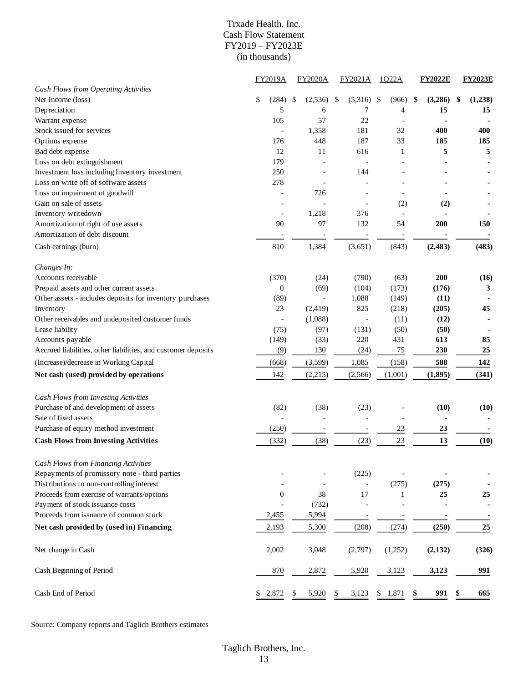#### Trxade Health, Inc. Cash Flow Statement FY2019 – FY2023E (in thousands)

|                                                               | FY2019A                  | <b>FY2020A</b>           | FY2021A                  | 1022A       |     | <b>FY2022E</b> | <b>FY2023E</b> |
|---------------------------------------------------------------|--------------------------|--------------------------|--------------------------|-------------|-----|----------------|----------------|
| Cash Flows from Operating Activities                          |                          |                          |                          |             |     |                |                |
| Net Income (loss)                                             | \$<br>(284)              | \$<br>(2,536)            | \$<br>(5,316)            | (966)<br>\$ |     | (3,286)<br>\$  | \$<br>(1,238)  |
| Depreciation                                                  | 5                        | 6                        | 7                        |             | 4   | 15             | 15             |
| Warrant expense                                               | 105                      | 57                       | 22                       |             |     |                |                |
| Stock issued for services                                     |                          | 1,358                    | 181                      | 32          |     | 400            | 400            |
| Options expense                                               | 176                      | 448                      | 187                      | 33          |     | 185            | 185            |
| Bad debt expense                                              | 12                       | 11                       | 616                      |             | 1   | 5              | 5              |
| Loss on debt extinguishment                                   | 179                      |                          |                          |             |     |                |                |
| Investment loss including Inventory investment                | 250                      |                          | 144                      |             |     |                |                |
| Loss on write off of software assets                          | 278                      |                          |                          |             |     |                |                |
| Loss on impairment of goodwill                                |                          | 726                      |                          |             |     |                |                |
| Gain on sale of assets                                        |                          |                          |                          |             | (2) | (2)            |                |
| Inventory writedown                                           | $\overline{\phantom{a}}$ | 1,218                    | 376                      |             |     |                |                |
| Amortization of right of use assets                           | 90                       | 97                       | 132                      | 54          |     | 200            | 150            |
| Amortization of debt discount                                 |                          |                          |                          |             |     |                |                |
| Cash earnings (burn)                                          | 810                      | 1,384                    | (3,651)                  | (843)       |     | (2, 483)       | (483)          |
| Changes In:                                                   |                          |                          |                          |             |     |                |                |
| Accounts receivable                                           | (370)                    | (24)                     | (790)                    | (63)        |     | 200            | (16)           |
| Prepaid assets and other current assets                       | $\boldsymbol{0}$         | (69)                     | (104)                    | (173)       |     | (176)          | 3              |
| Other assets - includes deposits for inventory purchases      | (89)                     | $\overline{\phantom{a}}$ | 1,088                    | (149)       |     | (11)           |                |
| Inventory                                                     | 23                       | (2, 419)                 | 825                      | (218)       |     | (205)          | 45             |
| Other receivables and undeposited customer funds              |                          | (1,088)                  |                          | (11)        |     | (12)           |                |
| Lease liability                                               | (75)                     | (97)                     | (131)                    | (50)        |     | (50)           |                |
| Accounts payable                                              | (149)                    | (33)                     | 220                      | 431         |     | 613            | 85             |
| Accrued liabilities, other liabilities, and customer deposits | (9)                      | 130                      | (24)                     | 75          |     | 230            | 25             |
| (Increase)/decrease in Working Capital                        | (668)                    | (3,599)                  | 1,085                    | (158)       |     | 588            | 142            |
| Net cash (used) provided by operations                        | 142                      | (2,215)                  | (2,566)                  | (1,001)     |     | (1, 895)       | (341)          |
| Cash Flows from Investing Activities                          |                          |                          |                          |             |     |                |                |
| Purchase of and development of assets                         | (82)                     | (38)                     | (23)                     |             |     | (10)           | (10)           |
| Sale of fixed assets                                          |                          |                          | $\overline{\phantom{a}}$ |             |     |                |                |
| Purchase of equity method investment                          | (250)                    |                          |                          | 23          |     | 23             |                |
|                                                               |                          |                          | $\overline{\phantom{a}}$ |             |     |                |                |
| <b>Cash Flows from Investing Activities</b>                   | (332)                    | (38)                     | (23)                     | 23          |     | 13             | (10)           |
| Cash Flows from Financing Activities                          |                          |                          |                          |             |     |                |                |
| Repayments of promissory note - third parties                 |                          |                          | (225)                    |             |     |                |                |
| Distributions to non-controlling interest                     |                          |                          |                          | (275)       |     | (275)          |                |
| Proceeds from exercise of warrants/options                    | $\boldsymbol{0}$         | 38                       | 17                       |             | 1   | 25             | 25             |
| Payment of stock issuance costs                               |                          | (732)                    |                          |             |     |                |                |
| Proceeds from issuance of common stock                        | 2,455                    | 5,994                    |                          |             |     |                |                |
| Net cash provided by (used in) Financing                      | 2,193                    | 5,300                    | (208)                    | (274)       |     | (250)          | 25             |
| Net change in Cash                                            | 2,002                    | 3,048                    | (2,797)                  | (1,252)     |     | (2, 132)       | (326)          |
| Cash Beginning of Period                                      | 870                      | 2,872                    | 5,920                    | 3,123       |     | 3,123          | 991            |
| Cash End of Period                                            | \$2,872                  | 5,920                    | \$<br>3,123              | 1,871<br>\$ |     | 991<br>\$      | 665            |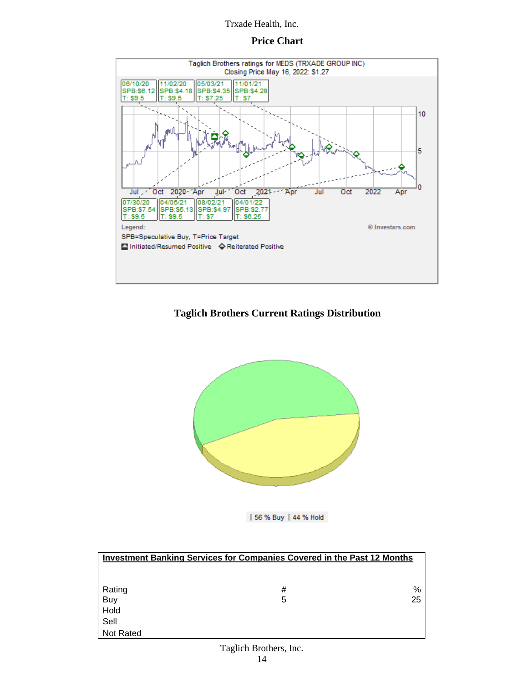### **Price Chart**



## **Taglich Brothers Current Ratings Distribution**



| 56 % Buy | 44 % Hold

| <b>Investment Banking Services for Companies Covered in the Past 12 Months</b> |          |    |  |  |  |  |  |  |  |  |
|--------------------------------------------------------------------------------|----------|----|--|--|--|--|--|--|--|--|
|                                                                                |          |    |  |  |  |  |  |  |  |  |
|                                                                                |          |    |  |  |  |  |  |  |  |  |
| Rating                                                                         | <u>#</u> | %  |  |  |  |  |  |  |  |  |
| Buy                                                                            | 5        | 25 |  |  |  |  |  |  |  |  |
| Hold                                                                           |          |    |  |  |  |  |  |  |  |  |
| Sell                                                                           |          |    |  |  |  |  |  |  |  |  |
| Not Rated                                                                      |          |    |  |  |  |  |  |  |  |  |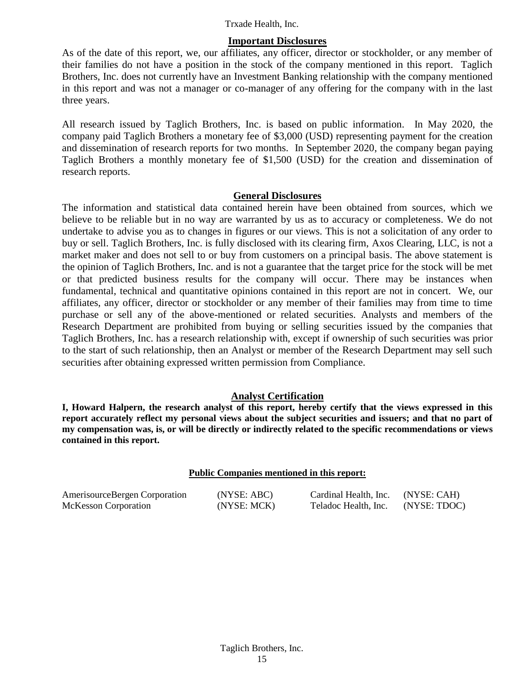#### **Important Disclosures**

As of the date of this report, we, our affiliates, any officer, director or stockholder, or any member of their families do not have a position in the stock of the company mentioned in this report. Taglich Brothers, Inc. does not currently have an Investment Banking relationship with the company mentioned in this report and was not a manager or co-manager of any offering for the company with in the last three years.

All research issued by Taglich Brothers, Inc. is based on public information. In May 2020, the company paid Taglich Brothers a monetary fee of \$3,000 (USD) representing payment for the creation and dissemination of research reports for two months. In September 2020, the company began paying Taglich Brothers a monthly monetary fee of \$1,500 (USD) for the creation and dissemination of research reports.

#### **General Disclosures**

The information and statistical data contained herein have been obtained from sources, which we believe to be reliable but in no way are warranted by us as to accuracy or completeness. We do not undertake to advise you as to changes in figures or our views. This is not a solicitation of any order to buy or sell. Taglich Brothers, Inc. is fully disclosed with its clearing firm, Axos Clearing, LLC, is not a market maker and does not sell to or buy from customers on a principal basis. The above statement is the opinion of Taglich Brothers, Inc. and is not a guarantee that the target price for the stock will be met or that predicted business results for the company will occur. There may be instances when fundamental, technical and quantitative opinions contained in this report are not in concert. We, our affiliates, any officer, director or stockholder or any member of their families may from time to time purchase or sell any of the above-mentioned or related securities. Analysts and members of the Research Department are prohibited from buying or selling securities issued by the companies that Taglich Brothers, Inc. has a research relationship with, except if ownership of such securities was prior to the start of such relationship, then an Analyst or member of the Research Department may sell such securities after obtaining expressed written permission from Compliance.

#### **Analyst Certification**

**I, Howard Halpern, the research analyst of this report, hereby certify that the views expressed in this report accurately reflect my personal views about the subject securities and issuers; and that no part of my compensation was, is, or will be directly or indirectly related to the specific recommendations or views contained in this report.**

#### **Public Companies mentioned in this report:**

| AmerisourceBergen Corporation | (NYSE: ABC) | Cardinal Health, Inc. | (NYSE: CAH)  |
|-------------------------------|-------------|-----------------------|--------------|
| McKesson Corporation          | (NYSE: MCK) | Teladoc Health, Inc.  | (NYSE: TDOC) |